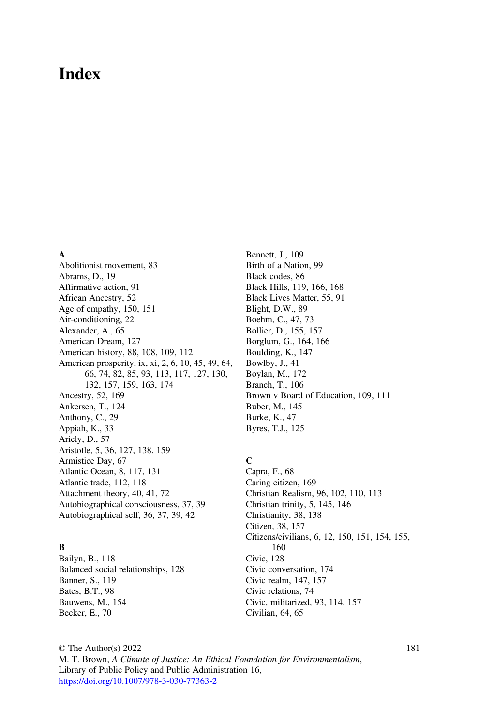# Index

#### A

Abolitionist movement, 83 Abrams, D., 19 Affirmative action, 91 African Ancestry, 52 Age of empathy, 150, 151 Air-conditioning, 22 Alexander, A., 65 American Dream, 127 American history, 88, 108, 109, 112 American prosperity, ix, xi, 2, 6, 10, 45, 49, 64, 66, 74, 82, 85, 93, 113, 117, 127, 130, 132, 157, 159, 163, 174 Ancestry, 52, 169 Ankersen, T., 124 Anthony, C., 29 Appiah, K., 33 Ariely, D., 57 Aristotle, 5, 36, 127, 138, 159 Armistice Day, 67 Atlantic Ocean, 8, 117, 131 Atlantic trade, 112, 118 Attachment theory, 40, 41, 72 Autobiographical consciousness, 37, 39 Autobiographical self, 36, 37, 39, 42

# B

Bailyn, B., 118 Balanced social relationships, 128 Banner, S., 119 Bates, B.T., 98 Bauwens, M., 154 Becker, E., 70

Bennett, J., 109 Birth of a Nation, 99 Black codes, 86 Black Hills, 119, 166, 168 Black Lives Matter, 55, 91 Blight, D.W., 89 Boehm, C., 47, 73 Bollier, D., 155, 157 Borglum, G., 164, 166 Boulding, K., 147 Bowlby, J., 41 Boylan, M., 172 Branch, T., 106 Brown v Board of Education, 109, 111 Buber, M., 145 Burke, K., 47 Byres, T.J., 125

# C

Capra, F., 68 Caring citizen, 169 Christian Realism, 96, 102, 110, 113 Christian trinity, 5, 145, 146 Christianity, 38, 138 Citizen, 38, 157 Citizens/civilians, 6, 12, 150, 151, 154, 155, 160 Civic, 128 Civic conversation, 174 Civic realm, 147, 157 Civic relations, 74 Civic, militarized, 93, 114, 157 Civilian, 64, 65

© The Author(s) 2022 M. T. Brown, A Climate of Justice: An Ethical Foundation for Environmentalism, Library of Public Policy and Public Administration 16, [https://doi.org/10.1007/978-3-030-77363-2](https://doi.org/10.1007/978-3-030-77363-2#DOI)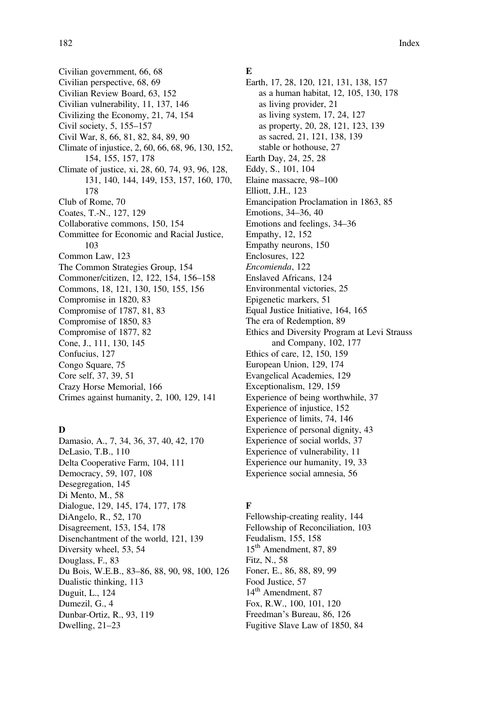Civilian government, 66, 68 Civilian perspective, 68, 69 Civilian Review Board, 63, 152 Civilian vulnerability, 11, 137, 146 Civilizing the Economy, 21, 74, 154 Civil society, 5, 155–157 Civil War, 8, 66, 81, 82, 84, 89, 90 Climate of injustice, 2, 60, 66, 68, 96, 130, 152, 154, 155, 157, 178 Climate of justice, xi, 28, 60, 74, 93, 96, 128, 131, 140, 144, 149, 153, 157, 160, 170, 178 Club of Rome, 70 Coates, T.-N., 127, 129 Collaborative commons, 150, 154 Committee for Economic and Racial Justice, 103 Common Law, 123 The Common Strategies Group, 154 Commoner/citizen, 12, 122, 154, 156–158 Commons, 18, 121, 130, 150, 155, 156 Compromise in 1820, 83 Compromise of 1787, 81, 83 Compromise of 1850, 83 Compromise of 1877, 82 Cone, J., 111, 130, 145 Confucius, 127 Congo Square, 75 Core self, 37, 39, 51 Crazy Horse Memorial, 166 Crimes against humanity, 2, 100, 129, 141

## D

Damasio, A., 7, 34, 36, 37, 40, 42, 170 DeLasio, T.B., 110 Delta Cooperative Farm, 104, 111 Democracy, 59, 107, 108 Desegregation, 145 Di Mento, M., 58 Dialogue, 129, 145, 174, 177, 178 DiAngelo, R., 52, 170 Disagreement, 153, 154, 178 Disenchantment of the world, 121, 139 Diversity wheel, 53, 54 Douglass, F., 83 Du Bois, W.E.B., 83–86, 88, 90, 98, 100, 126 Dualistic thinking, 113 Duguit, L., 124 Dumezil, G., 4 Dunbar-Ortiz, R., 93, 119 Dwelling, 21–23

#### E

Earth, 17, 28, 120, 121, 131, 138, 157 as a human habitat, 12, 105, 130, 178 as living provider, 21 as living system, 17, 24, 127 as property, 20, 28, 121, 123, 139 as sacred, 21, 121, 138, 139 stable or hothouse, 27 Earth Day, 24, 25, 28 Eddy, S., 101, 104 Elaine massacre, 98–100 Elliott, J.H., 123 Emancipation Proclamation in 1863, 85 Emotions, 34–36, 40 Emotions and feelings, 34–36 Empathy, 12, 152 Empathy neurons, 150 Enclosures, 122 Encomienda, 122 Enslaved Africans, 124 Environmental victories, 25 Epigenetic markers, 51 Equal Justice Initiative, 164, 165 The era of Redemption, 89 Ethics and Diversity Program at Levi Strauss and Company, 102, 177 Ethics of care, 12, 150, 159 European Union, 129, 174 Evangelical Academies, 129 Exceptionalism, 129, 159 Experience of being worthwhile, 37 Experience of injustice, 152 Experience of limits, 74, 146 Experience of personal dignity, 43 Experience of social worlds, 37 Experience of vulnerability, 11 Experience our humanity, 19, 33 Experience social amnesia, 56

# F

Fellowship-creating reality, 144 Fellowship of Reconciliation, 103 Feudalism, 155, 158 15<sup>th</sup> Amendment, 87, 89 Fitz, N., 58 Foner, E., 86, 88, 89, 99 Food Justice, 57 14<sup>th</sup> Amendment, 87 Fox, R.W., 100, 101, 120 Freedman's Bureau, 86, 126 Fugitive Slave Law of 1850, 84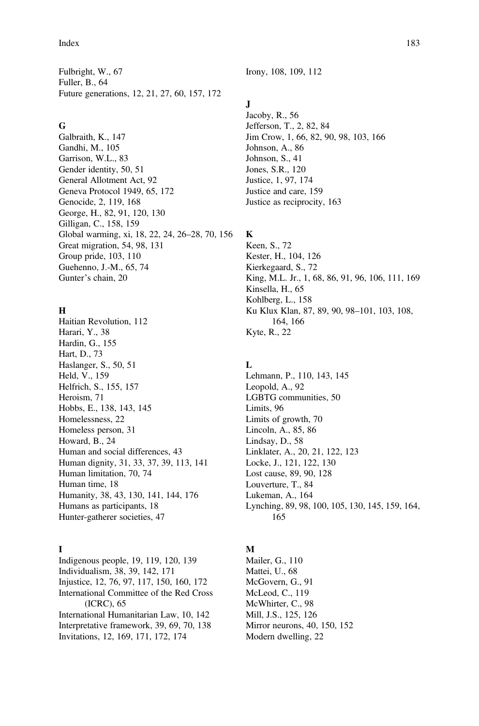#### Index 183

Fulbright, W., 67 Fuller, B., 64 Future generations, 12, 21, 27, 60, 157, 172

# G

Galbraith, K., 147 Gandhi, M., 105 Garrison, W.L., 83 Gender identity, 50, 51 General Allotment Act, 92 Geneva Protocol 1949, 65, 172 Genocide, 2, 119, 168 George, H., 82, 91, 120, 130 Gilligan, C., 158, 159 Global warming, xi, 18, 22, 24, 26–28, 70, 156 Great migration, 54, 98, 131 Group pride, 103, 110 Guehenno, J.-M., 65, 74 Gunter's chain, 20

#### H

Haitian Revolution, 112 Harari, Y., 38 Hardin, G., 155 Hart, D., 73 Haslanger, S., 50, 51 Held, V., 159 Helfrich, S., 155, 157 Heroism, 71 Hobbs, E., 138, 143, 145 Homelessness, 22 Homeless person, 31 Howard, B., 24 Human and social differences, 43 Human dignity, 31, 33, 37, 39, 113, 141 Human limitation, 70, 74 Human time, 18 Humanity, 38, 43, 130, 141, 144, 176 Humans as participants, 18 Hunter-gatherer societies, 47

# I

Indigenous people, 19, 119, 120, 139 Individualism, 38, 39, 142, 171 Injustice, 12, 76, 97, 117, 150, 160, 172 International Committee of the Red Cross (ICRC), 65 International Humanitarian Law, 10, 142 Interpretative framework, 39, 69, 70, 138 Invitations, 12, 169, 171, 172, 174

Irony, 108, 109, 112

# J

Jacoby, R., 56 Jefferson, T., 2, 82, 84 Jim Crow, 1, 66, 82, 90, 98, 103, 166 Johnson, A., 86 Johnson, S., 41 Jones, S.R., 120 Justice, 1, 97, 174 Justice and care, 159 Justice as reciprocity, 163

# K

Keen, S., 72 Kester, H., 104, 126 Kierkegaard, S., 72 King, M.L. Jr., 1, 68, 86, 91, 96, 106, 111, 169 Kinsella, H., 65 Kohlberg, L., 158 Ku Klux Klan, 87, 89, 90, 98–101, 103, 108, 164, 166 Kyte, R., 22

#### L

Lehmann, P., 110, 143, 145 Leopold, A., 92 LGBTG communities, 50 Limits, 96 Limits of growth, 70 Lincoln, A., 85, 86 Lindsay, D., 58 Linklater, A., 20, 21, 122, 123 Locke, J., 121, 122, 130 Lost cause, 89, 90, 128 Louverture, T., 84 Lukeman, A., 164 Lynching, 89, 98, 100, 105, 130, 145, 159, 164, 165

#### M

Mailer, G., 110 Mattei, U., 68 McGovern, G., 91 McLeod, C., 119 McWhirter, C., 98 Mill, J.S., 125, 126 Mirror neurons, 40, 150, 152 Modern dwelling, 22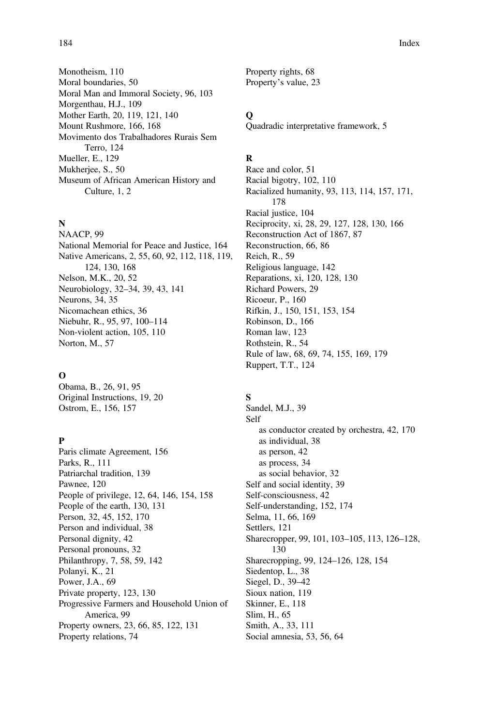Monotheism, 110 Moral boundaries, 50 Moral Man and Immoral Society, 96, 103 Morgenthau, H.J., 109 Mother Earth, 20, 119, 121, 140 Mount Rushmore, 166, 168 Movimento dos Trabalhadores Rurais Sem Terro, 124 Mueller, E., 129 Mukherjee, S., 50 Museum of African American History and Culture, 1, 2

## N

NAACP, 99 National Memorial for Peace and Justice, 164 Native Americans, 2, 55, 60, 92, 112, 118, 119, 124, 130, 168 Nelson, M.K., 20, 52 Neurobiology, 32–34, 39, 43, 141 Neurons, 34, 35 Nicomachean ethics, 36 Niebuhr, R., 95, 97, 100–114 Non-violent action, 105, 110 Norton, M., 57

#### $\Omega$

Obama, B., 26, 91, 95 Original Instructions, 19, 20 Ostrom, E., 156, 157

# P

Paris climate Agreement, 156 Parks, R., 111 Patriarchal tradition, 139 Pawnee, 120 People of privilege, 12, 64, 146, 154, 158 People of the earth, 130, 131 Person, 32, 45, 152, 170 Person and individual, 38 Personal dignity, 42 Personal pronouns, 32 Philanthropy, 7, 58, 59, 142 Polanyi, K., 21 Power, J.A., 69 Private property, 123, 130 Progressive Farmers and Household Union of America, 99 Property owners, 23, 66, 85, 122, 131 Property relations, 74

Property rights, 68 Property's value, 23

# $\bf{o}$

Quadradic interpretative framework, 5

## R

Race and color, 51 Racial bigotry, 102, 110 Racialized humanity, 93, 113, 114, 157, 171, 178 Racial justice, 104 Reciprocity, xi, 28, 29, 127, 128, 130, 166 Reconstruction Act of 1867, 87 Reconstruction, 66, 86 Reich, R., 59 Religious language, 142 Reparations, xi, 120, 128, 130 Richard Powers, 29 Ricoeur, P., 160 Rifkin, J., 150, 151, 153, 154 Robinson, D., 166 Roman law, 123 Rothstein, R., 54 Rule of law, 68, 69, 74, 155, 169, 179 Ruppert, T.T., 124

# S

Sandel, M.J., 39 Self as conductor created by orchestra, 42, 170 as individual, 38 as person, 42 as process, 34 as social behavior, 32 Self and social identity, 39 Self-consciousness, 42 Self-understanding, 152, 174 Selma, 11, 66, 169 Settlers, 121 Sharecropper, 99, 101, 103–105, 113, 126–128, 130 Sharecropping, 99, 124–126, 128, 154 Siedentop, L., 38 Siegel, D., 39–42 Sioux nation, 119 Skinner, E., 118 Slim, H., 65 Smith, A., 33, 111 Social amnesia, 53, 56, 64